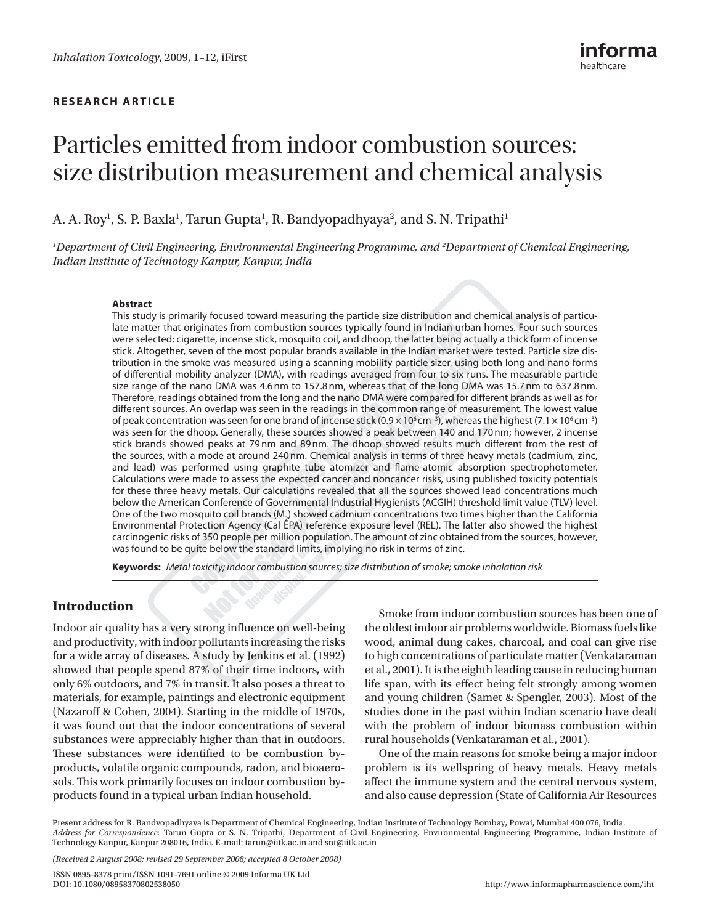# **Research Article**

# Particles emitted from indoor combustion sources: size distribution measurement and chemical analysis

A. A. Roy<sup>1</sup>, S. P. Baxla<sup>1</sup>, Tarun Gupta<sup>1</sup>, R. Bandyopadhyaya<sup>2</sup>, and S. N. Tripathi<sup>1</sup>

*1 Department of Civil Engineering, Environmental Engineering Programme, and 2 Department of Chemical Engineering, Indian Institute of Technology Kanpur, Kanpur, India*

#### **Abstract**

This study is primarily focused toward measuring the particle size distribution and chemical analysis of particulate matter that originates from combustion sources typically found in Indian urban homes. Four such sources were selected: cigarette, incense stick, mosquito coil, and dhoop, the latter being actually a thick form of incense stick. Altogether, seven of the most popular brands available in the Indian market were tested. Particle size distribution in the smoke was measured using a scanning mobility particle sizer, using both long and nano forms of differential mobility analyzer (DMA), with readings averaged from four to six runs. The measurable particle size range of the nano DMA was 4.6nm to 157.8nm, whereas that of the long DMA was 15.7nm to 637.8nm. Therefore, readings obtained from the long and the nano DMA were compared for different brands as well as for different sources. An overlap was seen in the readings in the common range of measurement. The lowest value of peak concentration was seen for one brand of incense stick (0.9×106 cm−3), whereas the highest (7.1×106 cm−3) was seen for the dhoop. Generally, these sources showed a peak between 140 and 170nm; however, 2 incense stick brands showed peaks at 79nm and 89nm. The dhoop showed results much different from the rest of the sources, with a mode at around 240nm. Chemical analysis in terms of three heavy metals (cadmium, zinc, and lead) was performed using graphite tube atomizer and flame-atomic absorption spectrophotometer. Calculations were made to assess the expected cancer and noncancer risks, using published toxicity potentials for these three heavy metals. Our calculations revealed that all the sources showed lead concentrations much below the American Conference of Governmental Industrial Hygienists (ACGIH) threshold limit value (TLV) level. One of the two mosquito coil brands  $(M_2)$  showed cadmium concentrations two times higher than the California Environmental Protection Agency (Cal EPA) reference exposure level (REL). The latter also showed the highest carcinogenic risks of 350 people per million population. The amount of zinc obtained from the sources, however, was found to be quite below the standard limits, implying no risk in terms of zinc.

**Keywords:** *Metal toxicity; indoor combustion sources; size distribution of smoke; smoke inhalation risk*

# **Introduction**

Indoor air quality has a very strong influence on well-being and productivity, with indoor pollutants increasing the risks for a wide array of diseases. A study by [Jenkins et al. \(1992\)](#page-11-0) showed that people spend 87% of their time indoors, with only 6% outdoors, and 7% in transit. It also poses a threat to materials, for example, paintings and electronic equipment ([Nazaroff & Cohen, 2004\)](#page-11-1). Starting in the middle of 1970s, it was found out that the indoor concentrations of several substances were appreciably higher than that in outdoors. These substances were identified to be combustion byproducts, volatile organic compounds, radon, and bioaerosols. This work primarily focuses on indoor combustion byproducts found in a typical urban Indian household.

Smoke from indoor combustion sources has been one of the oldest indoor air problems worldwide. Biomass fuels like wood, animal dung cakes, charcoal, and coal can give rise to high concentrations of particulate matter ([Venkataraman](#page-11-2) et [al., 2001\)](#page-11-2). It is the eighth leading cause in reducing human life span, with its effect being felt strongly among women and young children (Samet & Spengler, 2003). Most of the studies done in the past within Indian scenario have dealt with the problem of indoor biomass combustion within rural households [\(Venkataraman et al., 2001\)](#page-11-2).

One of the main reasons for smoke being a major indoor problem is its wellspring of heavy metals. Heavy metals affect the immune system and the central nervous system, and also cause depression (State of California Air Resources

ISSN 0895-8378 print/ISSN 1091-7691 online © 2009 Informa UK Ltd DOI: [10.1080/08958370802538050](http://www.informa.com/doifinder/10.1080/08958370802538050)

Present address for R. Bandyopadhyaya is Department of Chemical Engineering, Indian Institute of Technology Bombay, Powai, Mumbai 400 076, India. *Address for Correspondence*: Tarun Gupta or S. N. Tripathi, Department of Civil Engineering, Environmental Engineering Programme, Indian Institute of Technology Kanpur, Kanpur 208016, India. E-mail: [tarun@iitk.ac.in](mailto:tarun@iitk.ac.in) and [snt@iitk.ac.in](mailto:snt@iitk.ac.in)

*<sup>(</sup>Received 2 August 2008; revised 29 September 2008; accepted 8 October 2008)*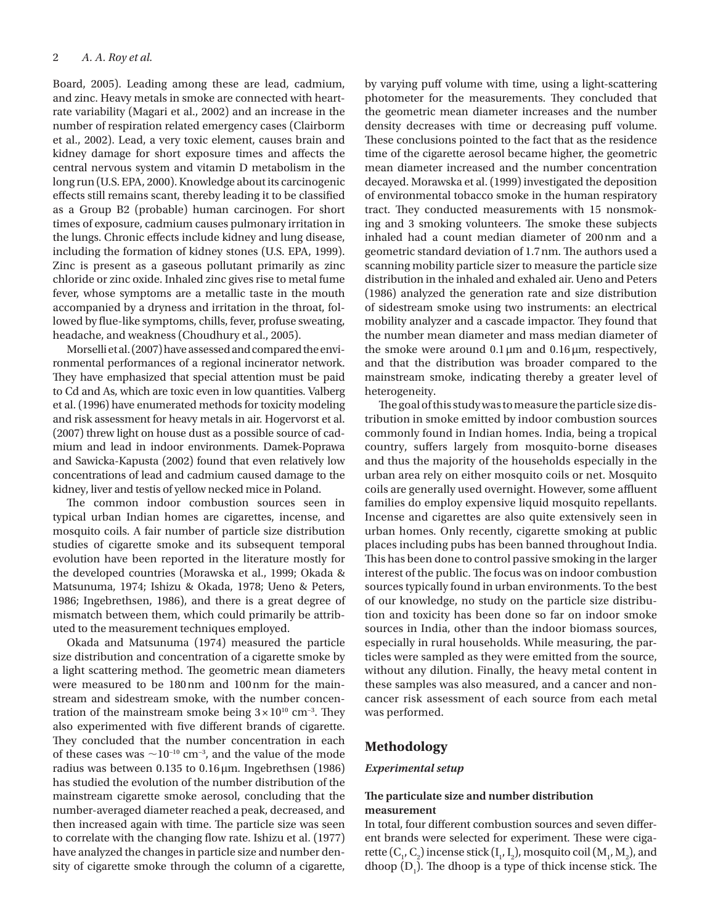Board, 2005). Leading among these are lead, cadmium, and zinc. Heavy metals in smoke are connected with heartrate variability ([Magari et al., 2002](#page-11-3)) and an increase in the number of respiration related emergency cases [\(Clairborm](#page-11-4) [et al., 2002](#page-11-4)). Lead, a very toxic element, causes brain and kidney damage for short exposure times and affects the central nervous system and vitamin D metabolism in the long run (U.S. EPA, 2000). Knowledge about its carcinogenic effects still remains scant, thereby leading it to be classified as a Group B2 (probable) human carcinogen. For short times of exposure, cadmium causes pulmonary irritation in the lungs. Chronic effects include kidney and lung disease, including the formation of kidney stones ([U.S. EPA, 1999](#page-11-5)). Zinc is present as a gaseous pollutant primarily as zinc chloride or zinc oxide. Inhaled zinc gives rise to metal fume fever, whose symptoms are a metallic taste in the mouth accompanied by a dryness and irritation in the throat, followed by flue-like symptoms, chills, fever, profuse sweating, headache, and weakness ([Choudhury et al., 2005\)](#page-11-6).

Morselli et al. (2007) have assessed and compared the environmental performances of a regional incinerator network. They have emphasized that special attention must be paid to Cd and As, which are toxic even in low quantities. [Valberg](#page-11-7) [et al. \(1996\)](#page-11-7) have enumerated methods for toxicity modeling and risk assessment for heavy metals in air. [Hogervorst et al.](#page-11-8) [\(2007\)](#page-11-8) threw light on house dust as a possible source of cadmium and lead in indoor environments. Damek-Poprawa and Sawicka-Kapusta (2002) found that even relatively low concentrations of lead and cadmium caused damage to the kidney, liver and testis of yellow necked mice in Poland.

The common indoor combustion sources seen in typical urban Indian homes are cigarettes, incense, and mosquito coils. A fair number of particle size distribution studies of cigarette smoke and its subsequent temporal evolution have been reported in the literature mostly for the developed countries ([Morawska et al., 1999](#page-11-9); [Okada &](#page-11-10) [Matsunuma, 1974](#page-11-10); [Ishizu & Okada, 1978;](#page-11-11) [Ueno & Peters,](#page-11-12) [1986](#page-11-12); [Ingebrethsen, 1986\)](#page-11-13), and there is a great degree of mismatch between them, which could primarily be attributed to the measurement techniques employed.

[Okada and Matsunuma \(1974\)](#page-11-10) measured the particle size distribution and concentration of a cigarette smoke by a light scattering method. The geometric mean diameters were measured to be 180nm and 100nm for the mainstream and sidestream smoke, with the number concentration of the mainstream smoke being  $3 \times 10^{10}$  cm<sup>-3</sup>. They also experimented with five different brands of cigarette. They concluded that the number concentration in each of these cases was  $\sim 10^{-10}$  cm<sup>-3</sup>, and the value of the mode radius was between 0.135 to 0.16µm. [Ingebrethsen \(1986\)](#page-11-13) has studied the evolution of the number distribution of the mainstream cigarette smoke aerosol, concluding that the number-averaged diameter reached a peak, decreased, and then increased again with time. The particle size was seen to correlate with the changing flow rate. Ishizu et al. (1977) have analyzed the changes in particle size and number density of cigarette smoke through the column of a cigarette, by varying puff volume with time, using a light-scattering photometer for the measurements. They concluded that the geometric mean diameter increases and the number density decreases with time or decreasing puff volume. These conclusions pointed to the fact that as the residence time of the cigarette aerosol became higher, the geometric mean diameter increased and the number concentration decayed. [Morawska et al. \(1999\)](#page-11-9) investigated the deposition of environmental tobacco smoke in the human respiratory tract. They conducted measurements with 15 nonsmoking and 3 smoking volunteers. The smoke these subjects inhaled had a count median diameter of 200nm and a geometric standard deviation of 1.7nm. The authors used a scanning mobility particle sizer to measure the particle size distribution in the inhaled and exhaled air. [Ueno and Peters](#page-11-12) [\(1986\)](#page-11-12) analyzed the generation rate and size distribution of sidestream smoke using two instruments: an electrical mobility analyzer and a cascade impactor. They found that the number mean diameter and mass median diameter of the smoke were around  $0.1 \mu m$  and  $0.16 \mu m$ , respectively, and that the distribution was broader compared to the mainstream smoke, indicating thereby a greater level of heterogeneity.

The goal of this study was to measure the particle size distribution in smoke emitted by indoor combustion sources commonly found in Indian homes. India, being a tropical country, suffers largely from mosquito-borne diseases and thus the majority of the households especially in the urban area rely on either mosquito coils or net. Mosquito coils are generally used overnight. However, some affluent families do employ expensive liquid mosquito repellants. Incense and cigarettes are also quite extensively seen in urban homes. Only recently, cigarette smoking at public places including pubs has been banned throughout India. This has been done to control passive smoking in the larger interest of the public. The focus was on indoor combustion sources typically found in urban environments. To the best of our knowledge, no study on the particle size distribution and toxicity has been done so far on indoor smoke sources in India, other than the indoor biomass sources, especially in rural households. While measuring, the particles were sampled as they were emitted from the source, without any dilution. Finally, the heavy metal content in these samples was also measured, and a cancer and noncancer risk assessment of each source from each metal was performed.

# **Methodology**

#### *Experimental setup*

# **The particulate size and number distribution measurement**

In total, four different combustion sources and seven different brands were selected for experiment. These were cigarette  $(C_1, C_2)$  incense stick  $(I_1, I_2)$ , mosquito coil  $(M_1, M_2)$ , and dhoop  $(D_1)$ . The dhoop is a type of thick incense stick. The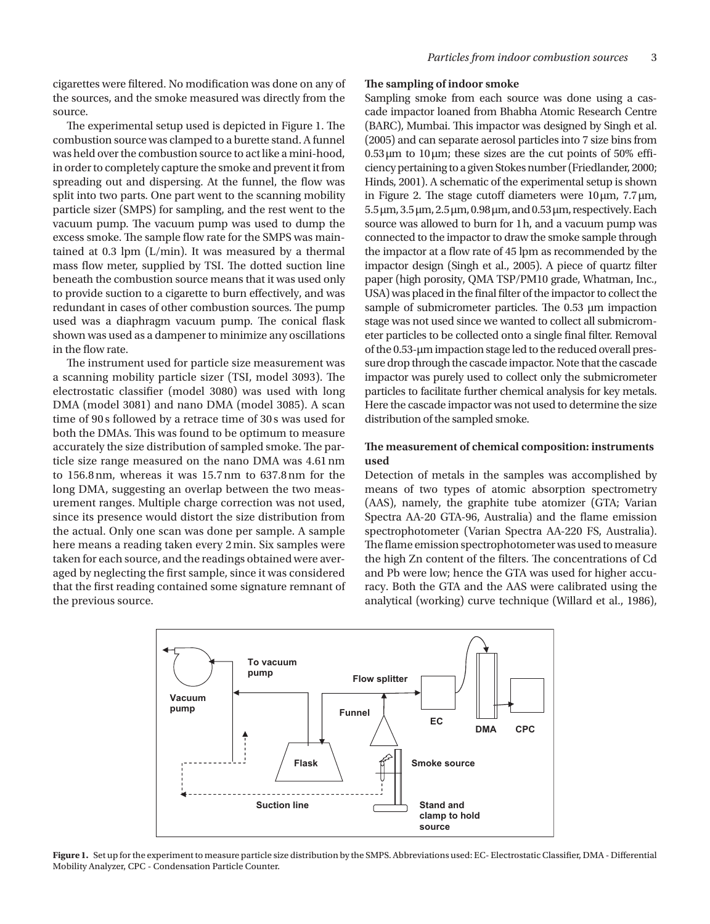cigarettes were filtered. No modification was done on any of the sources, and the smoke measured was directly from the source.

The experimental setup used is depicted in Figure 1. The combustion source was clamped to a burette stand. A funnel was held over the combustion source to act like a mini-hood, in order to completely capture the smoke and prevent it from spreading out and dispersing. At the funnel, the flow was split into two parts. One part went to the scanning mobility particle sizer (SMPS) for sampling, and the rest went to the vacuum pump. The vacuum pump was used to dump the excess smoke. The sample flow rate for the SMPS was maintained at 0.3 lpm  $(L/min)$ . It was measured by a thermal mass flow meter, supplied by TSI. The dotted suction line beneath the combustion source means that it was used only to provide suction to a cigarette to burn effectively, and was redundant in cases of other combustion sources. The pump used was a diaphragm vacuum pump. The conical flask shown was used as a dampener to minimize any oscillations in the flow rate.

The instrument used for particle size measurement was a scanning mobility particle sizer (TSI, model 3093). The electrostatic classifier (model 3080) was used with long DMA (model 3081) and nano DMA (model 3085). A scan time of 90 s followed by a retrace time of 30 s was used for both the DMAs. This was found to be optimum to measure accurately the size distribution of sampled smoke. The particle size range measured on the nano DMA was 4.61nm to 156.8nm, whereas it was 15.7nm to 637.8nm for the long DMA, suggesting an overlap between the two measurement ranges. Multiple charge correction was not used, since its presence would distort the size distribution from the actual. Only one scan was done per sample. A sample here means a reading taken every 2min. Six samples were taken for each source, and the readings obtained were averaged by neglecting the first sample, since it was considered that the first reading contained some signature remnant of the previous source.

## **The sampling of indoor smoke**

Sampling smoke from each source was done using a cascade impactor loaned from Bhabha Atomic Research Centre (BARC), Mumbai. This impactor was designed by [Singh et al.](#page-11-14) [\(2005\)](#page-11-14) and can separate aerosol particles into 7 size bins from  $0.53\,\mu$ m to  $10\,\mu$ m; these sizes are the cut points of 50% efficiency pertaining to a given Stokes number [\(Friedlander, 2000;](#page-11-15) Hinds, 2001). A schematic of the experimental setup is shown in Figure 2. The stage cutoff diameters were  $10 \mu m$ ,  $7.7 \mu m$ , 5.5µm, 3.5µm, 2.5µm, 0.98µm, and 0.53µm, respectively. Each source was allowed to burn for 1h, and a vacuum pump was connected to the impactor to draw the smoke sample through the impactor at a flow rate of 45 lpm as recommended by the impactor design ([Singh et al., 2005\)](#page-11-14). A piece of quartz filter paper (high porosity, QMA TSP/PM10 grade, Whatman, Inc., USA) was placed in the final filter of the impactor to collect the sample of submicrometer particles. The 0.53 µm impaction stage was not used since we wanted to collect all submicrometer particles to be collected onto a single final filter. Removal of the 0.53-µm impaction stage led to the reduced overall pressure drop through the cascade impactor. Note that the cascade impactor was purely used to collect only the submicrometer particles to facilitate further chemical analysis for key metals. Here the cascade impactor was not used to determine the size distribution of the sampled smoke.

# **The measurement of chemical composition: instruments used**

Detection of metals in the samples was accomplished by means of two types of atomic absorption spectrometry (AAS), namely, the graphite tube atomizer (GTA; Varian Spectra AA-20 GTA-96, Australia) and the flame emission spectrophotometer (Varian Spectra AA-220 FS, Australia). The flame emission spectrophotometer was used to measure the high Zn content of the filters. The concentrations of Cd and Pb were low; hence the GTA was used for higher accuracy. Both the GTA and the AAS were calibrated using the analytical (working) curve technique ([Willard et al., 1986](#page-11-16)),



**Figure 1.** Set up for the experiment to measure particle size distribution by the SMPS. Abbreviations used: EC- Electrostatic Classifier, DMA - Differential Mobility Analyzer, CPC - Condensation Particle Counter.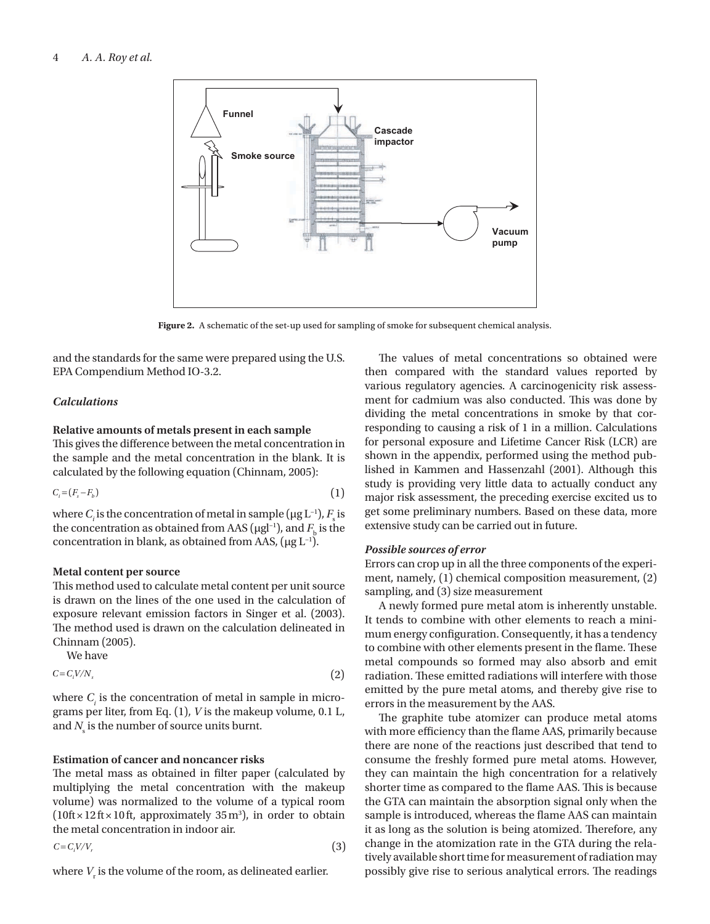

**Figure 2.** A schematic of the set-up used for sampling of smoke for subsequent chemical analysis.

and the standards for the same were prepared using the U.S. EPA Compendium Method IO-3.2.

# *Calculations*

#### **Relative amounts of metals present in each sample**

This gives the difference between the metal concentration in the sample and the metal concentration in the blank. It is calculated by the following equation [\(Chinnam, 2005](#page-11-17)):

$$
C_i = (F_s - F_b) \tag{1}
$$

where  $C_i$  is the concentration of metal in sample ( $\mu$ g L<sup>-1</sup>),  $F_s$  is the concentration as obtained from AAS ( $\mu$ gl<sup>-1</sup>), and  $F<sub>b</sub>$  is the concentration in blank, as obtained from AAS,  $(\mu g L^{-1})$ .

#### **Metal content per source**

We have

This method used to calculate metal content per unit source is drawn on the lines of the one used in the calculation of exposure relevant emission factors in [Singer et al. \(2003\).](#page-11-18) The method used is drawn on the calculation delineated in [Chinnam \(2005\)](#page-11-17).

$$
C = C_i V / N_s \tag{2}
$$

where  $C<sub>i</sub>$  is the concentration of metal in sample in micrograms per liter, from Eq. (1), *V* is the makeup volume, 0.1 L, and  $N_{\rm s}$  is the number of source units burnt.

#### **Estimation of cancer and noncancer risks**

The metal mass as obtained in filter paper (calculated by multiplying the metal concentration with the makeup volume) was normalized to the volume of a typical room  $(10\text{ft} \times 12\text{ ft} \times 10\text{ ft}$ , approximately 35 m<sup>3</sup>), in order to obtain the metal concentration in indoor air.

$$
C = C_i V / V_r \tag{3}
$$

where  $V_{\rm r}$  is the volume of the room, as delineated earlier.

The values of metal concentrations so obtained were then compared with the standard values reported by various regulatory agencies. A carcinogenicity risk assessment for cadmium was also conducted. This was done by dividing the metal concentrations in smoke by that corresponding to causing a risk of 1 in a million. Calculations for personal exposure and Lifetime Cancer Risk (LCR) are shown in the appendix, performed using the method published in [Kammen and Hassenzahl \(2001\).](#page-11-19) Although this study is providing very little data to actually conduct any major risk assessment, the preceding exercise excited us to get some preliminary numbers. Based on these data, more extensive study can be carried out in future.

## *Possible sources of error*

Errors can crop up in all the three components of the experiment, namely, (1) chemical composition measurement, (2) sampling, and (3) size measurement

A newly formed pure metal atom is inherently unstable. It tends to combine with other elements to reach a minimum energy configuration. Consequently, it has a tendency to combine with other elements present in the flame. These metal compounds so formed may also absorb and emit radiation. These emitted radiations will interfere with those emitted by the pure metal atoms, and thereby give rise to errors in the measurement by the AAS.

The graphite tube atomizer can produce metal atoms with more efficiency than the flame AAS, primarily because there are none of the reactions just described that tend to consume the freshly formed pure metal atoms. However, they can maintain the high concentration for a relatively shorter time as compared to the flame AAS. This is because the GTA can maintain the absorption signal only when the sample is introduced, whereas the flame AAS can maintain it as long as the solution is being atomized. Therefore, any change in the atomization rate in the GTA during the relatively available short time for measurement of radiation may possibly give rise to serious analytical errors. The readings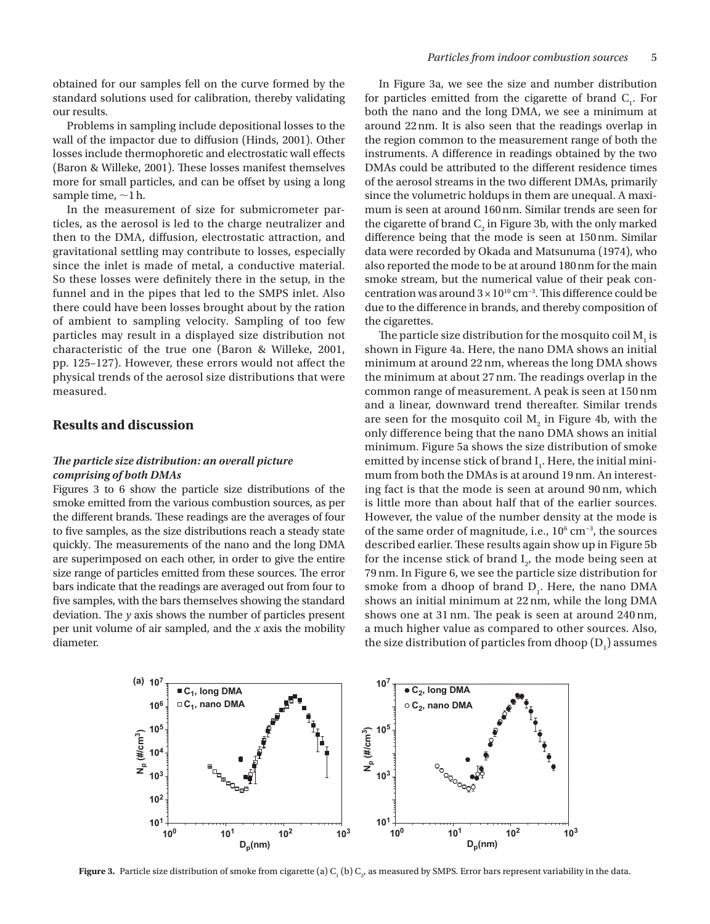obtained for our samples fell on the curve formed by the standard solutions used for calibration, thereby validating our results.

Problems in sampling include depositional losses to the wall of the impactor due to diffusion (Hinds, 2001). Other losses include thermophoretic and electrostatic wall effects ([Baron & Willeke, 2001\)](#page-11-20). These losses manifest themselves more for small particles, and can be offset by using a long sample time,  $\sim$ 1 h.

In the measurement of size for submicrometer particles, as the aerosol is led to the charge neutralizer and then to the DMA, diffusion, electrostatic attraction, and gravitational settling may contribute to losses, especially since the inlet is made of metal, a conductive material. So these losses were definitely there in the setup, in the funnel and in the pipes that led to the SMPS inlet. Also there could have been losses brought about by the ration of ambient to sampling velocity. Sampling of too few particles may result in a displayed size distribution not characteristic of the true one (Baron [& Willeke, 2001,](#page-11-20) pp. 125–127). However, these errors would not affect the physical trends of the aerosol size distributions that were measured.

# **Results and discussion**

## *The particle size distribution: an overall picture comprising of both DMAs*

Figures 3 to 6 show the particle size distributions of the smoke emitted from the various combustion sources, as per the different brands. These readings are the averages of four to five samples, as the size distributions reach a steady state quickly. The measurements of the nano and the long DMA are superimposed on each other, in order to give the entire size range of particles emitted from these sources. The error bars indicate that the readings are averaged out from four to five samples, with the bars themselves showing the standard deviation. The *y* axis shows the number of particles present per unit volume of air sampled, and the *x* axis the mobility diameter.

In Figure 3a, we see the size and number distribution for particles emitted from the cigarette of brand  $C_1$ . For both the nano and the long DMA, we see a minimum at around 22nm. It is also seen that the readings overlap in the region common to the measurement range of both the instruments. A difference in readings obtained by the two DMAs could be attributed to the different residence times of the aerosol streams in the two different DMAs, primarily since the volumetric holdups in them are unequal. A maximum is seen at around 160nm. Similar trends are seen for the cigarette of brand  $\mathsf{C}_2$  in Figure 3b, with the only marked difference being that the mode is seen at 150nm. Similar data were recorded by [Okada and Matsunuma \(1974\),](#page-11-10) who also reported the mode to be at around 180nm for the main smoke stream, but the numerical value of their peak concentration was around 3×1010 cm−3. This difference could be due to the difference in brands, and thereby composition of the cigarettes.

The particle size distribution for the mosquito coil  $\mathbf{M}_{\mathbf{1}}$  is shown in Figure 4a. Here, the nano DMA shows an initial minimum at around 22 nm, whereas the long DMA shows the minimum at about 27 nm. The readings overlap in the common range of measurement. A peak is seen at 150 nm and a linear, downward trend thereafter. Similar trends are seen for the mosquito coil  $\mathbf{M}_2$  in Figure 4b, with the only difference being that the nano DMA shows an initial minimum. Figure 5a shows the size distribution of smoke emitted by incense stick of brand  $\mathrm{I}_1$ . Here, the initial minimum from both the DMAs is at around 19 nm. An interesting fact is that the mode is seen at around 90 nm, which is little more than about half that of the earlier sources. However, the value of the number density at the mode is of the same order of magnitude, i.e., 10<sup>6</sup> cm<sup>-3</sup>, the sources described earlier. These results again show up in Figure 5b for the incense stick of brand  $I_2$ , the mode being seen at 79 nm. In Figure 6, we see the particle size distribution for smoke from a dhoop of brand  $D_1$ . Here, the nano DMA shows an initial minimum at 22 nm, while the long DMA shows one at 31 nm. The peak is seen at around 240 nm, a much higher value as compared to other sources. Also, the size distribution of particles from dhoop  $(D_1)$  assumes



**Figure 3.** Particle size distribution of smoke from cigarette (a) C<sub>1</sub> (b) C<sub>2</sub>, as measured by SMPS. Error bars represent variability in the data.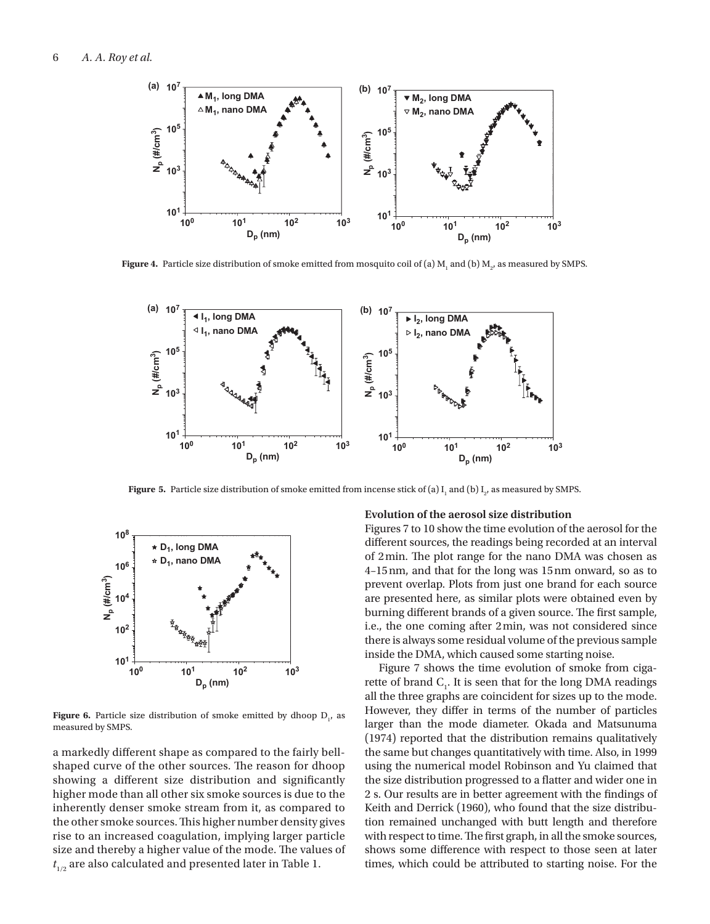

**Figure 4.** Particle size distribution of smoke emitted from mosquito coil of (a)  $\mathrm{M}_1$  and (b)  $\mathrm{M}_{2'}$  as measured by SMPS.



**Figure 5.** Particle size distribution of smoke emitted from incense stick of (a)  $I_1$  and (b)  $I_{2'}$  as measured by SMPS.



**Figure 6.** Particle size distribution of smoke emitted by dhoop  $D_i$ , as measured by SMPS.

a markedly different shape as compared to the fairly bellshaped curve of the other sources. The reason for dhoop showing a different size distribution and significantly higher mode than all other six smoke sources is due to the inherently denser smoke stream from it, as compared to the other smoke sources. This higher number density gives rise to an increased coagulation, implying larger particle size and thereby a higher value of the mode. The values of  $t_{\scriptscriptstyle 1/2}$  are also calculated and presented later in [Table](#page-6-0) 1.

## **Evolution of the aerosol size distribution**

Figures 7 to 10 show the time evolution of the aerosol for the different sources, the readings being recorded at an interval of 2min. The plot range for the nano DMA was chosen as 4–15nm, and that for the long was 15nm onward, so as to prevent overlap. Plots from just one brand for each source are presented here, as similar plots were obtained even by burning different brands of a given source. The first sample, i.e., the one coming after 2min, was not considered since there is always some residual volume of the previous sample inside the DMA, which caused some starting noise.

Figure 7 shows the time evolution of smoke from cigarette of brand  $C_1$ . It is seen that for the long DMA readings all the three graphs are coincident for sizes up to the mode. However, they differ in terms of the number of particles larger than the mode diameter. [Okada and Matsunuma](#page-11-10) [\(1974\)](#page-11-10) reported that the distribution remains qualitatively the same but changes quantitatively with time. Also, in 1999 using the numerical model Robinson and Yu claimed that the size distribution progressed to a flatter and wider one in 2 s. Our results are in better agreement with the findings of Keith and Derrick (1960), who found that the size distribution remained unchanged with butt length and therefore with respect to time. The first graph, in all the smoke sources, shows some difference with respect to those seen at later times, which could be attributed to starting noise. For the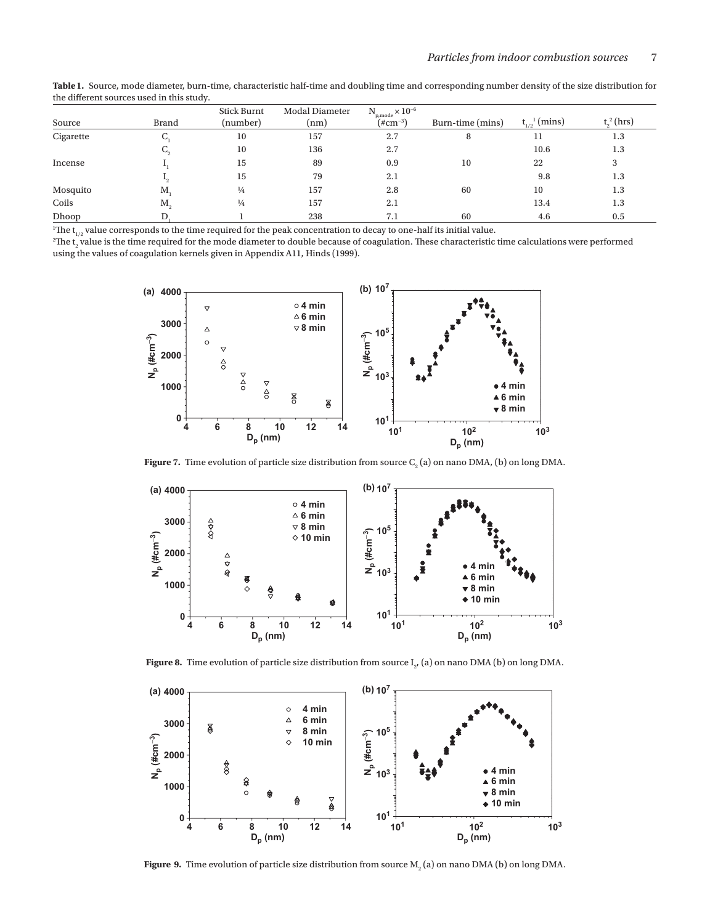<span id="page-6-0"></span>**Table1.** Source, mode diameter, burn-time, characteristic half-time and doubling time and corresponding number density of the size distribution for the different sources used in this study.

| Source    | Brand       | <b>Stick Burnt</b><br>(number) | Modal Diameter<br>(nm) | $10^{-6}$ $\times 10^{-6}$<br>$(\# \text{cm}^{-3})$ | Burn-time (mins) | $t_{1/2}^{-1}$ (mins) | $t_2^2$ (hrs) |
|-----------|-------------|--------------------------------|------------------------|-----------------------------------------------------|------------------|-----------------------|---------------|
| Cigarette |             | 10                             | 157                    | 2.7                                                 | 8                | 11                    | 1.3           |
|           |             | 10                             | 136                    | 2.7                                                 |                  | 10.6                  | 1.3           |
| Incense   |             | 15                             | 89                     | 0.9                                                 | 10               | 22                    | 3             |
|           |             | 15                             | 79                     | 2.1                                                 |                  | 9.8                   | 1.3           |
| Mosquito  | M.          | $\frac{1}{4}$                  | 157                    | 2.8                                                 | 60               | 10                    | 1.3           |
| Coils     | $M_{\circ}$ | $\frac{1}{4}$                  | 157                    | 2.1                                                 |                  | 13.4                  | 1.3           |
| Dhoop     |             |                                | 238                    | 7.1                                                 | 60               | 4.6                   | 0.5           |

 $^{\rm l}{\rm The~t}_{1/2}$  value corresponds to the time required for the peak concentration to decay to one-half its initial value.

 $^2$ The t $_2$  value is the time required for the mode diameter to double because of coagulation. These characteristic time calculations were performed using the values of coagulation kernels given in Appendix A11, Hinds (1999).



**Figure 7.** Time evolution of particle size distribution from source  $\mathrm{C}_2(\mathrm{a})$  on nano DMA, (b) on long DMA.



**Figure 8.** Time evolution of particle size distribution from source  $I_{_2}$ , (a) on nano DMA (b) on long DMA.



**Figure 9.** Time evolution of particle size distribution from source  $\text{M}_2(\text{a})$  on nano DMA (b) on long DMA.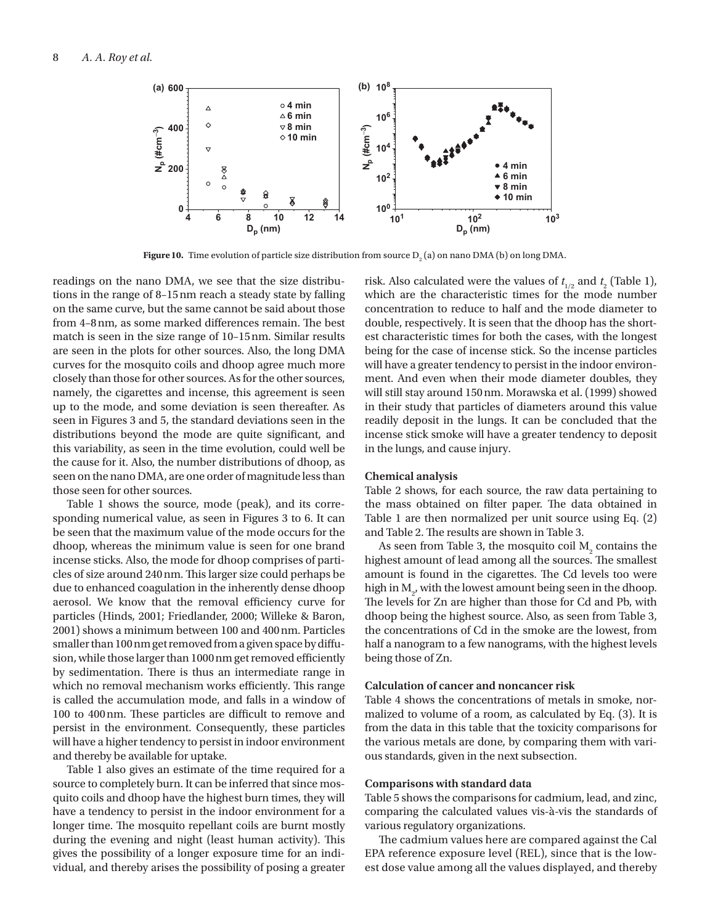

**Figure 10.** Time evolution of particle size distribution from source  $\rm D^{}_2(a)$  on nano DMA (b) on long DMA.

readings on the nano DMA, we see that the size distributions in the range of 8–15nm reach a steady state by falling on the same curve, but the same cannot be said about those from 4–8nm, as some marked differences remain. The best match is seen in the size range of 10–15nm. Similar results are seen in the plots for other sources. Also, the long DMA curves for the mosquito coils and dhoop agree much more closely than those for other sources. As for the other sources, namely, the cigarettes and incense, this agreement is seen up to the mode, and some deviation is seen thereafter. As seen in Figures 3 and 5, the standard deviations seen in the distributions beyond the mode are quite significant, and this variability, as seen in the time evolution, could well be the cause for it. Also, the number distributions of dhoop, as seen on the nano DMA, are one order of magnitude less than those seen for other sources.

[Table](#page-6-0) 1 shows the source, mode (peak), and its corresponding numerical value, as seen in Figures 3 to 6. It can be seen that the maximum value of the mode occurs for the dhoop, whereas the minimum value is seen for one brand incense sticks. Also, the mode for dhoop comprises of particles of size around 240nm. This larger size could perhaps be due to enhanced coagulation in the inherently dense dhoop aerosol. We know that the removal efficiency curve for particles (Hinds, 2001; [Friedlander, 2000](#page-11-15); Willeke & Baron, 2001) shows a minimum between 100 and 400nm. Particles smaller than 100 nm get removed from a given space by diffusion, while those larger than 1000nm get removed efficiently by sedimentation. There is thus an intermediate range in which no removal mechanism works efficiently. This range is called the accumulation mode, and falls in a window of 100 to 400nm. These particles are difficult to remove and persist in the environment. Consequently, these particles will have a higher tendency to persist in indoor environment and thereby be available for uptake.

[Table](#page-6-0) 1 also gives an estimate of the time required for a source to completely burn. It can be inferred that since mosquito coils and dhoop have the highest burn times, they will have a tendency to persist in the indoor environment for a longer time. The mosquito repellant coils are burnt mostly during the evening and night (least human activity). This gives the possibility of a longer exposure time for an individual, and thereby arises the possibility of posing a greater

risk. Also calculated were the values of  $t_{1/2}$  and  $t_2$  [\(Table](#page-6-0) 1), which are the characteristic times for the mode number concentration to reduce to half and the mode diameter to double, respectively. It is seen that the dhoop has the shortest characteristic times for both the cases, with the longest being for the case of incense stick. So the incense particles will have a greater tendency to persist in the indoor environment. And even when their mode diameter doubles, they will still stay around 150nm. [Morawska et al. \(1999\)](#page-11-9) showed in their study that particles of diameters around this value readily deposit in the lungs. It can be concluded that the incense stick smoke will have a greater tendency to deposit in the lungs, and cause injury.

## **Chemical analysis**

[Table](#page-8-0) 2 shows, for each source, the raw data pertaining to the mass obtained on filter paper. The data obtained in [Table](#page-8-0) 1 are then normalized per unit source using Eq. (2) and [Table](#page-8-0) 2. The results are shown in [Table](#page-8-1) 3.

As seen from [Table](#page-8-1) 3, the mosquito coil  $\mathbf{M}_2$  contains the highest amount of lead among all the sources. The smallest amount is found in the cigarettes. The Cd levels too were high in  $M_{2}$ , with the lowest amount being seen in the dhoop. The levels for Zn are higher than those for Cd and Pb, with dhoop being the highest source. Also, as seen from [Table](#page-8-1) 3, the concentrations of Cd in the smoke are the lowest, from half a nanogram to a few nanograms, with the highest levels being those of Zn.

## **Calculation of cancer and noncancer risk**

[Table](#page-8-2) 4 shows the concentrations of metals in smoke, normalized to volume of a room, as calculated by Eq. (3). It is from the data in this table that the toxicity comparisons for the various metals are done, by comparing them with various standards, given in the next subsection.

#### **Comparisons with standard data**

[Table](#page-9-0) 5 shows the comparisons for cadmium, lead, and zinc, comparing the calculated values vis-à-vis the standards of various regulatory organizations.

The cadmium values here are compared against the Cal EPA reference exposure level (REL), since that is the lowest dose value among all the values displayed, and thereby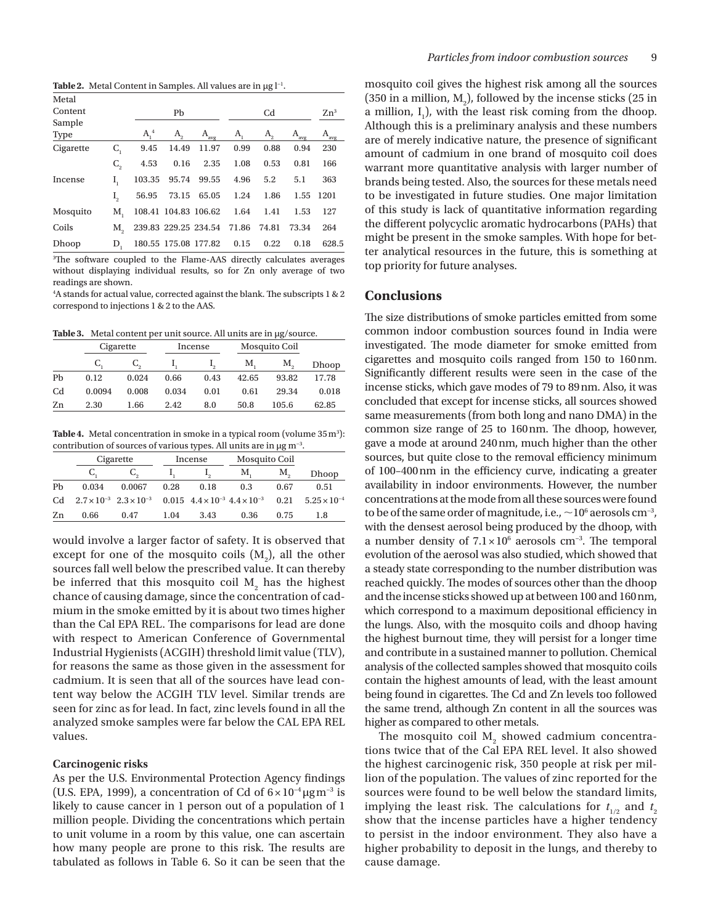<span id="page-8-0"></span>Table 2. Metal Content in Samples. All values are in µg l<sup>-1</sup>.

| Metal     |              |                             |                    |                                  |         |                |           |                  |
|-----------|--------------|-----------------------------|--------------------|----------------------------------|---------|----------------|-----------|------------------|
| Content   |              |                             | Ph                 |                                  |         | C <sub>d</sub> |           | $Zn^3$           |
| Sample    |              |                             |                    |                                  |         |                |           |                  |
| Type      |              | A <sub>1</sub> <sup>4</sup> | A.,                | $\rm A_{\underline{avg}}$        | $A_{1}$ | $A_{\alpha}$   | $A_{avg}$ | $A_{\text{avg}}$ |
| Cigarette | C,           | 9.45                        | 14.49              | 11.97                            | 0.99    | 0.88           | 0.94      | 230              |
|           | $C_{\alpha}$ | 4.53                        | 0.16               | 2.35                             | 1.08    | 0.53           | 0.81      | 166              |
| Incense   | I,           |                             | 103.35 95.74 99.55 |                                  | 4.96    | 5.2            | 5.1       | 363              |
|           | $I_{\alpha}$ | 56.95                       |                    | 73.15 65.05                      | 1.24    | 1.86           |           | 1.55 1201        |
| Mosquito  | M,           |                             |                    | 108.41 104.83 106.62             | 1.64    | 1.41           | 1.53      | 127              |
| Coils     | $M_{\circ}$  |                             |                    | 239.83 229.25 234.54 71.86 74.81 |         |                | 73.34     | 264              |
| Dhoop     | D.           |                             |                    | 180.55 175.08 177.82             | 0.15    | 0.22           | 0.18      | 628.5            |

3 The software coupled to the Flame-AAS directly calculates averages without displaying individual results, so for Zn only average of two readings are shown.

4 A stands for actual value, corrected against the blank. The subscripts 1 & 2 correspond to injections 1 & 2 to the AAS.

<span id="page-8-1"></span>**Table3.** Metal content per unit source. All units are in µg/source.

|                |        | Cigarette |       | Incense               | Mosquito Coil |       |       |
|----------------|--------|-----------|-------|-----------------------|---------------|-------|-------|
|                | G,     | U,        |       | $\mathbf{I}_{\alpha}$ | M,            | M.    | Dhoop |
| Pb             | 0.12   | 0.024     | 0.66  | 0.43                  | 42.65         | 93.82 | 17.78 |
| C <sub>d</sub> | 0.0094 | 0.008     | 0.034 | 0.01                  | 0.61          | 29.34 | 0.018 |
| Zn             | 2.30   | 1.66      | 2.42  | 8.0                   | 50.8          | 105.6 | 62.85 |

<span id="page-8-2"></span>**Table 4.** Metal concentration in smoke in a typical room (volume  $35 \text{ m}^3$ ): contribution of sources of various types. All units are in µg m−3.

|    |                                           | Cigarette    |      | Incense                                                   | Mosquito Coil |      |                       |
|----|-------------------------------------------|--------------|------|-----------------------------------------------------------|---------------|------|-----------------------|
|    |                                           | $U_{\alpha}$ |      |                                                           | M.            | M,   | Dhoop                 |
| Ph | 0.034                                     | 0.0067       | 0.28 | 0.18                                                      | 0.3           | 0.67 | 0.51                  |
| Cd | $2.7 \times 10^{-3}$ $2.3 \times 10^{-3}$ |              |      | $0.015 \quad 4.4 \times 10^{-3} \quad 4.4 \times 10^{-3}$ |               | 0.21 | $5.25 \times 10^{-4}$ |
| Zn | 0.66                                      | 0.47         | 1.04 | 3.43                                                      | 0.36          | 0.75 | $^{1.8}$              |

would involve a larger factor of safety. It is observed that except for one of the mosquito coils  $(M_2)$ , all the other sources fall well below the prescribed value. It can thereby be inferred that this mosquito coil  $M_2$  has the highest chance of causing damage, since the concentration of cadmium in the smoke emitted by it is about two times higher than the Cal EPA REL. The comparisons for lead are done with respect to American Conference of Governmental Industrial Hygienists (ACGIH) threshold limit value (TLV), for reasons the same as those given in the assessment for cadmium. It is seen that all of the sources have lead content way below the ACGIH TLV level. Similar trends are seen for zinc as for lead. In fact, zinc levels found in all the analyzed smoke samples were far below the CAL EPA REL values.

#### **Carcinogenic risks**

As per the U.S. Environmental Protection Agency findings ([U.S. EPA, 1999](#page-11-5)), a concentration of Cd of  $6 \times 10^{-4}$ µgm<sup>-3</sup> is likely to cause cancer in 1 person out of a population of 1 million people. Dividing the concentrations which pertain to unit volume in a room by this value, one can ascertain how many people are prone to this risk. The results are tabulated as follows in [Table](#page-9-1) 6. So it can be seen that the mosquito coil gives the highest risk among all the sources (350 in a million,  $M_2$ ), followed by the incense sticks (25 in a million,  $I_1$ ), with the least risk coming from the dhoop. Although this is a preliminary analysis and these numbers are of merely indicative nature, the presence of significant amount of cadmium in one brand of mosquito coil does warrant more quantitative analysis with larger number of brands being tested. Also, the sources for these metals need to be investigated in future studies. One major limitation of this study is lack of quantitative information regarding the different polycyclic aromatic hydrocarbons (PAHs) that might be present in the smoke samples. With hope for better analytical resources in the future, this is something at top priority for future analyses.

## **Conclusions**

The size distributions of smoke particles emitted from some common indoor combustion sources found in India were investigated. The mode diameter for smoke emitted from cigarettes and mosquito coils ranged from 150 to 160nm. Significantly different results were seen in the case of the incense sticks, which gave modes of 79 to 89nm. Also, it was concluded that except for incense sticks, all sources showed same measurements (from both long and nano DMA) in the common size range of 25 to 160nm. The dhoop, however, gave a mode at around 240nm, much higher than the other sources, but quite close to the removal efficiency minimum of 100–400nm in the efficiency curve, indicating a greater availability in indoor environments. However, the number concentrations at the mode from all these sources were found to be of the same order of magnitude, i.e.,  $\sim$ 10<sup>6</sup> aerosols cm<sup>-3</sup>, with the densest aerosol being produced by the dhoop, with a number density of  $7.1 \times 10^6$  aerosols cm<sup>-3</sup>. The temporal evolution of the aerosol was also studied, which showed that a steady state corresponding to the number distribution was reached quickly. The modes of sources other than the dhoop and the incense sticks showed up at between 100 and 160nm, which correspond to a maximum depositional efficiency in the lungs. Also, with the mosquito coils and dhoop having the highest burnout time, they will persist for a longer time and contribute in a sustained manner to pollution. Chemical analysis of the collected samples showed that mosquito coils contain the highest amounts of lead, with the least amount being found in cigarettes. The Cd and Zn levels too followed the same trend, although Zn content in all the sources was higher as compared to other metals.

The mosquito coil  $M<sub>2</sub>$  showed cadmium concentrations twice that of the Cal EPA REL level. It also showed the highest carcinogenic risk, 350 people at risk per million of the population. The values of zinc reported for the sources were found to be well below the standard limits, implying the least risk. The calculations for  $t_{1/2}$  and  $t_2$ show that the incense particles have a higher tendency to persist in the indoor environment. They also have a higher probability to deposit in the lungs, and thereby to cause damage.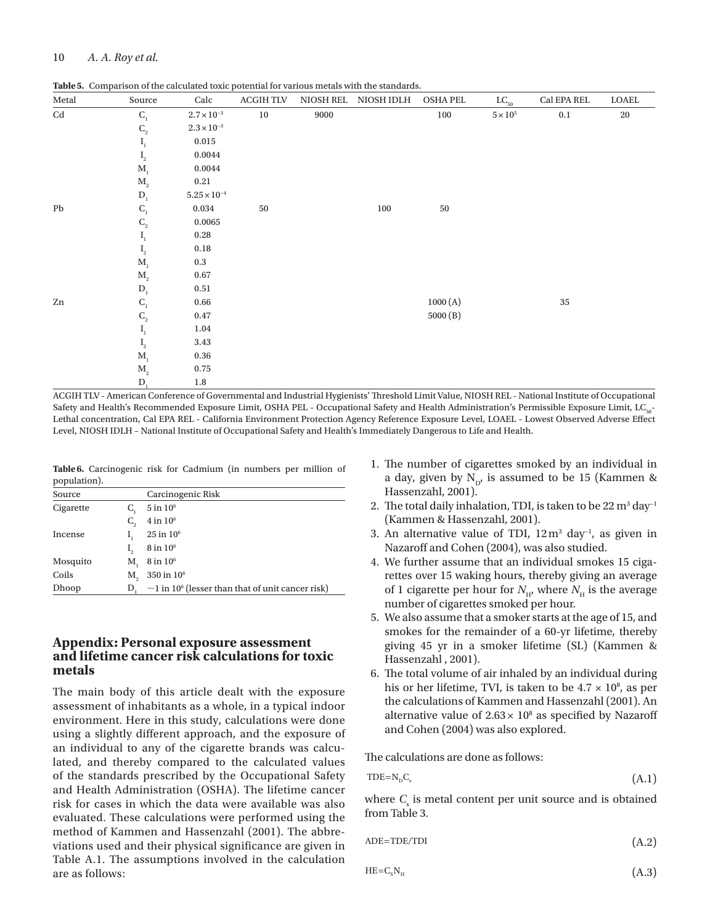<span id="page-9-0"></span>

|  |  | Table 5. Comparison of the calculated toxic potential for various metals with the standards. |
|--|--|----------------------------------------------------------------------------------------------|
|  |  |                                                                                              |

| Metal      | Source                               | Calc                 | <b>ACGIHTLV</b> | NIOSH REL | NIOSH IDLH | <b>OSHA PEL</b> | $LC_{50}$     | Cal EPA REL | <b>LOAEL</b> |
|------------|--------------------------------------|----------------------|-----------------|-----------|------------|-----------------|---------------|-------------|--------------|
| Cd         | $\mathbf{C}_\text{\tiny{1}}$         | $2.7 \times 10^{-3}$ | 10              | 9000      |            | 100             | $5\times10^5$ | $0.1\,$     | 20           |
|            | $\mathsf{C}_{\scriptscriptstyle 2}$  | $2.3\times10^{-3}$   |                 |           |            |                 |               |             |              |
|            | $\mathbf{I}_{\scriptscriptstyle 1}$  | 0.015                |                 |           |            |                 |               |             |              |
|            | $\mathbf{I}_{\scriptscriptstyle 2}$  | 0.0044               |                 |           |            |                 |               |             |              |
|            | $M_{1}$                              | 0.0044               |                 |           |            |                 |               |             |              |
|            | $\mathbf{M}_{2}$                     | 0.21                 |                 |           |            |                 |               |             |              |
|            | $\mathbf{D}_1$                       | $5.25\times10^{-4}$  |                 |           |            |                 |               |             |              |
| Pb         | $\mathbf{C}_\text{\tiny{1}}$         | 0.034                | ${\bf 50}$      |           | 100        | $50\,$          |               |             |              |
|            | $\mathsf{C}_{\scriptscriptstyle 2}$  | 0.0065               |                 |           |            |                 |               |             |              |
|            | $\mathbf{I}_{\scriptscriptstyle 1}$  | $0.28\,$             |                 |           |            |                 |               |             |              |
|            | $\mathbf{I}_{\scriptscriptstyle 2}$  | $0.18\,$             |                 |           |            |                 |               |             |              |
|            | $M_{1}$                              | $0.3\,$              |                 |           |            |                 |               |             |              |
|            | $\mathbf{M}_{\scriptscriptstyle{2}}$ | $0.67\,$             |                 |           |            |                 |               |             |              |
|            | $\mathbf{D}_{_{1}}$                  | 0.51                 |                 |           |            |                 |               |             |              |
| ${\rm Zn}$ | $\mathsf{C}_\mathsf{1}$              | 0.66                 |                 |           |            | 1000(A)         |               | $35\,$      |              |
|            | $\mathbf{C}_{\scriptscriptstyle{2}}$ | $0.47\,$             |                 |           |            | 5000(B)         |               |             |              |
|            | $\mathbf{I}_{_{1}}$                  | 1.04                 |                 |           |            |                 |               |             |              |
|            | $\mathbf{I}_{\scriptscriptstyle 2}$  | $3.43\,$             |                 |           |            |                 |               |             |              |
|            | $M_{1}$                              | $0.36\,$             |                 |           |            |                 |               |             |              |
|            | $\mathbf{M}_{_{2}}$                  | $0.75\,$             |                 |           |            |                 |               |             |              |
|            | D,                                   | $1.8\,$              |                 |           |            |                 |               |             |              |

ACGIH TLV - American Conference of Governmental and Industrial Hygienists' Threshold Limit Value, NIOSH REL - National Institute of Occupational Safety and Health's Recommended Exposure Limit, OSHA PEL - Occupational Safety and Health Administration's Permissible Exposure Limit, LC<sub>50</sub>-Lethal concentration, Cal EPA REL - California Environment Protection Agency Reference Exposure Level, LOAEL - Lowest Observed Adverse Effect Level, NIOSH IDLH – National Institute of Occupational Safety and Health's Immediately Dangerous to Life and Health.

<span id="page-9-1"></span>**Table6.** Carcinogenic risk for Cadmium (in numbers per million of population).

| Source    |    | Carcinogenic Risk                                                  |
|-----------|----|--------------------------------------------------------------------|
| Cigarette |    | $5$ in $106$                                                       |
|           | C, | $4$ in $106$                                                       |
| Incense   |    | $25$ in $106$                                                      |
|           |    | $8$ in $106$                                                       |
| Mosquito  | Μ, | 8 in 10 <sup>6</sup>                                               |
| Coils     | M. | 350 in 10 <sup>6</sup>                                             |
| Dhoop     | D  | $\sim$ 1 in 10 <sup>6</sup> (lesser than that of unit cancer risk) |

# **Appendix: Personal exposure assessment and lifetime cancer risk calculations for toxic metals**

The main body of this article dealt with the exposure assessment of inhabitants as a whole, in a typical indoor environment. Here in this study, calculations were done using a slightly different approach, and the exposure of an individual to any of the cigarette brands was calculated, and thereby compared to the calculated values of the standards prescribed by the Occupational Safety and Health Administration (OSHA). The lifetime cancer risk for cases in which the data were available was also evaluated. These calculations were performed using the method of [Kammen and Hassenzahl \(2001\)](#page-11-19). The abbreviations used and their physical significance are given in [Table](#page-10-0) A.1. The assumptions involved in the calculation are as follows:

- 1. The number of cigarettes smoked by an individual in a day, given by  $N_{p}$ , is assumed to be 15 [\(Kammen &](#page-11-19) [Hassenzahl, 2001](#page-11-19)).
- 2. The total daily inhalation, TDI, is taken to be  $22 \text{ m}^3 \text{ day}^{-1}$ ([Kammen & Hassenzahl, 2001](#page-11-19)).
- 3. An alternative value of TDI,  $12 \text{ m}^3$  day<sup>-1</sup>, as given in [Nazaroff and Cohen \(2004\),](#page-11-1) was also studied.
- 4. We further assume that an individual smokes 15 cigarettes over 15 waking hours, thereby giving an average of 1 cigarette per hour for  $N_{\rm H}$ , where  $N_{\rm H}$  is the average number of cigarettes smoked per hour.
- 5. We also assume that a smoker starts at the age of 15, and smokes for the remainder of a 60-yr lifetime, thereby giving 45 yr in a smoker lifetime (SL) ([Kammen &](#page-11-19) [Hassenzahl , 2001](#page-11-19)).
- 6. The total volume of air inhaled by an individual during his or her lifetime, TVI, is taken to be  $4.7 \times 10^8$ , as per the calculations of [Kammen and Hassenzahl \(2001\).](#page-11-19) An alternative value of  $2.63 \times 10^8$  as specified by Nazaroff and Cohen (2004) was also explored.

The calculations are done as follows:

$$
TDE = NDCs
$$
 (A.1)

where  $C_{\rm s}$  is metal content per unit source and is obtained from [Table](#page-8-1) 3.

$$
ADE = TDE/TDI
$$
\n
$$
(A.2)
$$

$$
HE=C_{s}N_{H}
$$
 (A.3)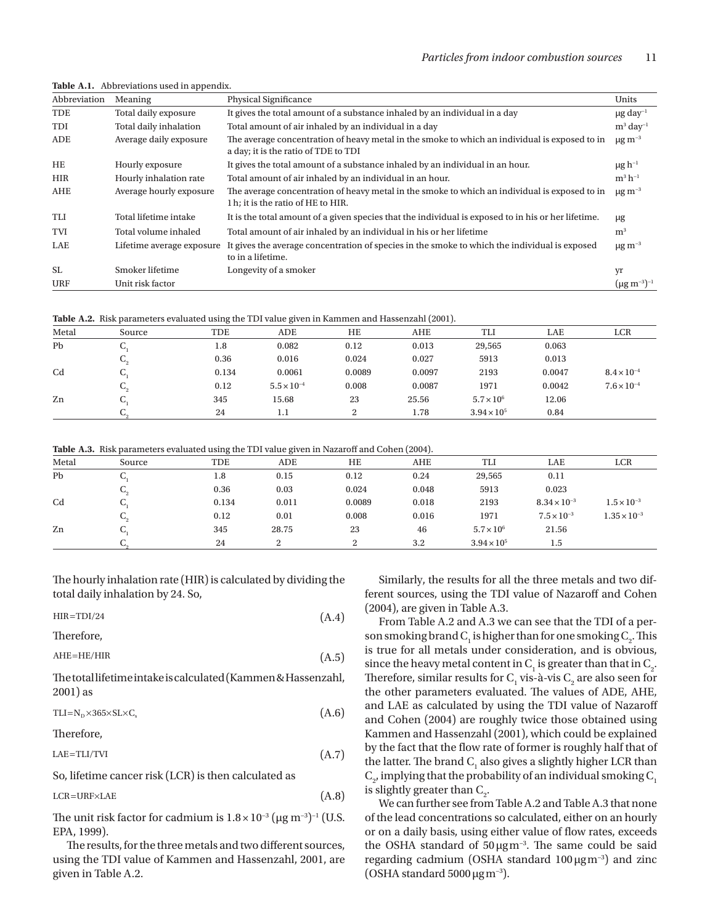| Abbreviation | Meaning                   | <b>Physical Significance</b>                                                                                                          | Units                     |
|--------------|---------------------------|---------------------------------------------------------------------------------------------------------------------------------------|---------------------------|
| <b>TDE</b>   | Total daily exposure      | It gives the total amount of a substance inhaled by an individual in a day                                                            | $\mu$ g day <sup>-1</sup> |
| TDI          | Total daily inhalation    | Total amount of air inhaled by an individual in a day                                                                                 | $m^3$ day <sup>-1</sup>   |
| ADE          | Average daily exposure    | The average concentration of heavy metal in the smoke to which an individual is exposed to in<br>a day; it is the ratio of TDE to TDI | $\mu$ g m <sup>-3</sup>   |
| <b>HE</b>    | Hourly exposure           | It gives the total amount of a substance inhaled by an individual in an hour.                                                         | $\mu$ g h <sup>-1</sup>   |
| <b>HIR</b>   | Hourly inhalation rate    | Total amount of air inhaled by an individual in an hour.                                                                              | $m^3 h^{-1}$              |
| AHE          | Average hourly exposure   | The average concentration of heavy metal in the smoke to which an individual is exposed to in<br>1 h; it is the ratio of HE to HIR.   | $\mu$ g m <sup>-3</sup>   |
| <b>TLI</b>   | Total lifetime intake     | It is the total amount of a given species that the individual is exposed to in his or her lifetime.                                   | $\mu$ g                   |
| <b>TVI</b>   | Total volume inhaled      | Total amount of air inhaled by an individual in his or her lifetime                                                                   | m <sup>3</sup>            |
| LAE          | Lifetime average exposure | It gives the average concentration of species in the smoke to which the individual is exposed<br>to in a lifetime.                    | $\mu$ g m <sup>-3</sup>   |
| SL.          | Smoker lifetime           | Longevity of a smoker                                                                                                                 | yr                        |
| <b>URF</b>   | Unit risk factor          |                                                                                                                                       | $(\mu g \, m^{-3})^{-1}$  |

<span id="page-10-0"></span>Table A.1. Abbreviations used in appendix

<span id="page-10-1"></span>**Table A.2.** Risk parameters evaluated using the TDI value given in Kammen and Hassenzahl (2001).

|                | $\sim$ | $\sim$ | $\sim$               |           |        |                      |        |                      |
|----------------|--------|--------|----------------------|-----------|--------|----------------------|--------|----------------------|
| Metal          | Source | TDE    | ADE                  | <b>HE</b> | AHE    | TLI                  | LAE    | LCR                  |
| Pb             |        | 1.8    | 0.082                | 0.12      | 0.013  | 29,565               | 0.063  |                      |
|                | U.     | 0.36   | 0.016                | 0.024     | 0.027  | 5913                 | 0.013  |                      |
| C <sub>d</sub> |        | 0.134  | 0.0061               | 0.0089    | 0.0097 | 2193                 | 0.0047 | $8.4 \times 10^{-4}$ |
|                | U.     | 0.12   | $5.5 \times 10^{-4}$ | 0.008     | 0.0087 | 1971                 | 0.0042 | $7.6 \times 10^{-4}$ |
| Zn             |        | 345    | 15.68                | 23        | 25.56  | $5.7 \times 10^{6}$  | 12.06  |                      |
|                |        | 24     | 1.1                  | $\Omega$  | 1.78   | $3.94 \times 10^{5}$ | 0.84   |                      |

<span id="page-10-2"></span>**Table A.3.** Risk parameters evaluated using the TDI value given in Nazaroff and Cohen (2004).

| Metal          | Source                | TDE   | ADE   | HE     | AHE   | TLI                  | LAE                   | LCR                   |
|----------------|-----------------------|-------|-------|--------|-------|----------------------|-----------------------|-----------------------|
| Pb             |                       | 1.8   | 0.15  | 0.12   | 0.24  | 29,565               | 0.11                  |                       |
|                | U.                    | 0.36  | 0.03  | 0.024  | 0.048 | 5913                 | 0.023                 |                       |
| C <sub>d</sub> |                       | 0.134 | 0.011 | 0.0089 | 0.018 | 2193                 | $8.34 \times 10^{-3}$ | $1.5 \times 10^{-3}$  |
|                | $\mathbf{U}_{\alpha}$ | 0.12  | 0.01  | 0.008  | 0.016 | 1971                 | $7.5 \times 10^{-3}$  | $1.35 \times 10^{-3}$ |
| Zn             | U,                    | 345   | 28.75 | 23     | 46    | $5.7 \times 10^{6}$  | 21.56                 |                       |
|                |                       | 24    | ົ     | ◠      | 3.2   | $3.94 \times 10^{5}$ | 1.5                   |                       |

The hourly inhalation rate (HIR) is calculated by dividing the total daily inhalation by 24. So,

 $HIR = TDI/24$  (A.4)

Therefore,

 $AHE = HE/HIR$  (A.5)

The total lifetime intake is calculated [\(Kammen & Hassenzahl,](#page-11-19) [2001](#page-11-19)) as

 $TLI = N_D \times 365 \times SL \times C_s$  (A.6)

Therefore,

 $\text{LAE} = \text{TLI/TVI}$  (A.7)

So, lifetime cancer risk (LCR) is then calculated as

 $LCR = URF \times LAE$  (A.8)

The unit risk factor for cadmium is  $1.8 \times 10^{-3}$  (µg m<sup>-3</sup>)<sup>-1</sup> ([U.S.](#page-11-5) [EPA, 1999](#page-11-5)).

The results, for the three metals and two different sources, using the TDI value of [Kammen and Hassenzahl, 2001,](#page-11-19) are given in [Table](#page-10-1) A.2.

Similarly, the results for all the three metals and two different sources, using the TDI value of [Nazaroff and Cohen](#page-11-1) [\(2004\)](#page-11-1), are given in [Table](#page-10-2) A.3.

From [Table](#page-10-1) A.2 and [A.3](#page-10-2) we can see that the TDI of a person smoking brand  $C_1$  is higher than for one smoking  $C_2$ . This is true for all metals under consideration, and is obvious, since the heavy metal content in  $\mathsf{C}_1$  is greater than that in  $\mathsf{C}_2$ . Therefore, similar results for  $\mathrm C_{\mathrm i}$  vis-à-vis  $\mathrm C_{\mathrm z}$  are also seen for the other parameters evaluated. The values of ADE, AHE, and LAE as calculated by using the TDI value of [Nazaroff](#page-11-1)  [and Cohen \(2004\)](#page-11-1) are roughly twice those obtained using [Kammen and Hassenzahl \(2001\)](#page-11-19), which could be explained by the fact that the flow rate of former is roughly half that of the latter. The brand  $\mathsf{C}_\text{l}$  also gives a slightly higher LCR than  $\mathrm{C}_{2'}$  implying that the probability of an individual smoking  $\mathrm{C}_{1}$ is slightly greater than  $C_2$ .

We can further see from [Table](#page-10-1) A.2 and [Table](#page-10-2) A.3 that none of the lead concentrations so calculated, either on an hourly or on a daily basis, using either value of flow rates, exceeds the OSHA standard of 50µgm<sup>-3</sup>. The same could be said regarding cadmium (OSHA standard 100µgm−3) and zinc (OSHA standard  $5000 \mu g m^{-3}$ ).